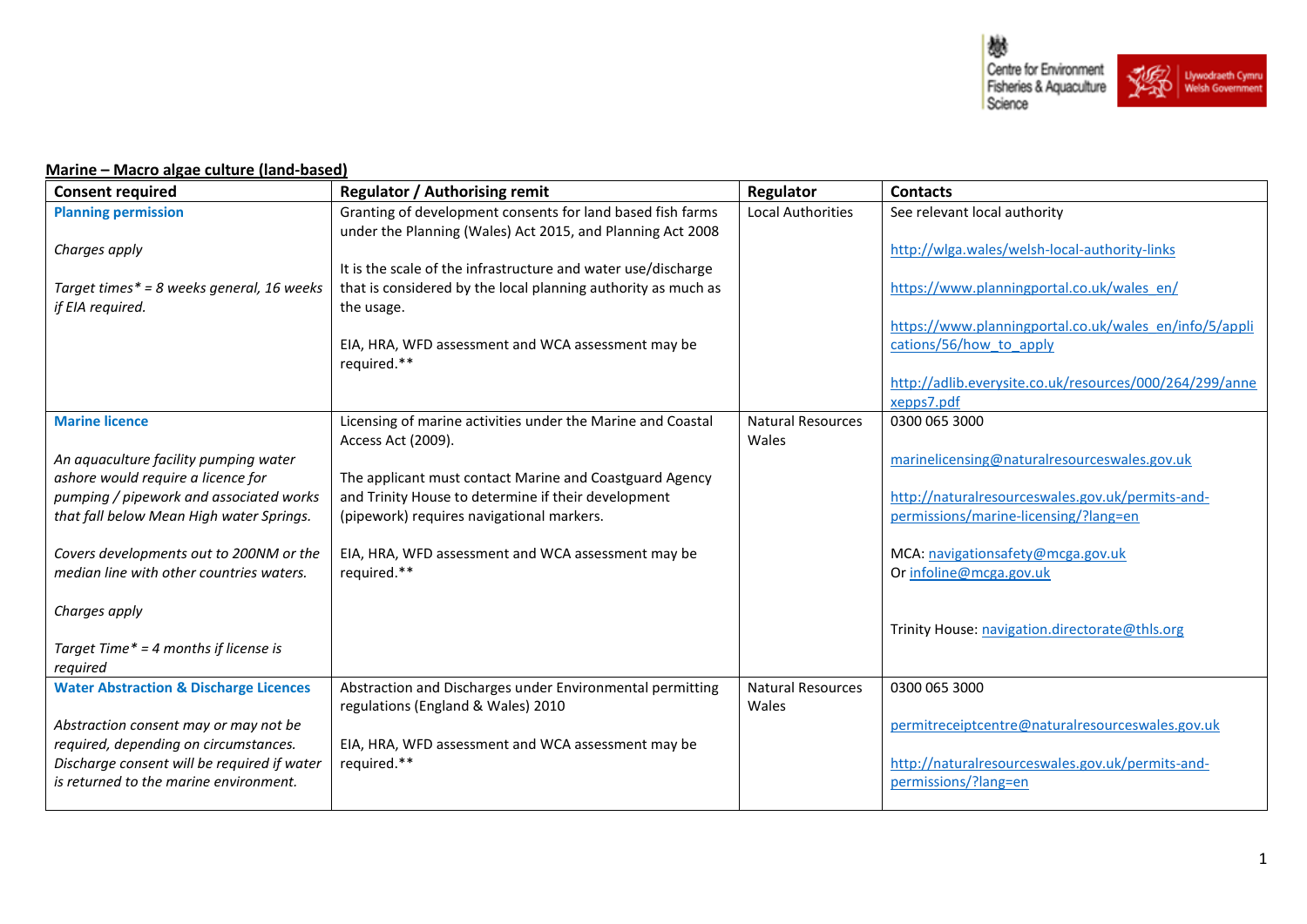

## **Marine – Macro algae culture (land-based)**

| <b>Consent required</b>                                                              | <b>Regulator / Authorising remit</b>                              | Regulator                | <b>Contacts</b>                                                                   |
|--------------------------------------------------------------------------------------|-------------------------------------------------------------------|--------------------------|-----------------------------------------------------------------------------------|
| <b>Planning permission</b>                                                           | Granting of development consents for land based fish farms        | <b>Local Authorities</b> | See relevant local authority                                                      |
|                                                                                      | under the Planning (Wales) Act 2015, and Planning Act 2008        |                          |                                                                                   |
| Charges apply                                                                        |                                                                   |                          | http://wlga.wales/welsh-local-authority-links                                     |
|                                                                                      | It is the scale of the infrastructure and water use/discharge     |                          |                                                                                   |
| Target times* = 8 weeks general, 16 weeks                                            | that is considered by the local planning authority as much as     |                          | https://www.planningportal.co.uk/wales_en/                                        |
| if EIA required.                                                                     | the usage.                                                        |                          |                                                                                   |
|                                                                                      | EIA, HRA, WFD assessment and WCA assessment may be                |                          | https://www.planningportal.co.uk/wales_en/info/5/appli<br>cations/56/how to apply |
|                                                                                      | required.**                                                       |                          |                                                                                   |
|                                                                                      |                                                                   |                          | http://adlib.everysite.co.uk/resources/000/264/299/anne                           |
|                                                                                      |                                                                   |                          | xepps7.pdf                                                                        |
| <b>Marine licence</b>                                                                | Licensing of marine activities under the Marine and Coastal       | <b>Natural Resources</b> | 0300 065 3000                                                                     |
|                                                                                      | Access Act (2009).                                                | Wales                    |                                                                                   |
| An aquaculture facility pumping water                                                |                                                                   |                          | marinelicensing@naturalresourceswales.gov.uk                                      |
| ashore would require a licence for                                                   | The applicant must contact Marine and Coastguard Agency           |                          |                                                                                   |
| pumping / pipework and associated works                                              | and Trinity House to determine if their development               |                          | http://naturalresourceswales.gov.uk/permits-and-                                  |
| that fall below Mean High water Springs.                                             | (pipework) requires navigational markers.                         |                          | permissions/marine-licensing/?lang=en                                             |
| Covers developments out to 200NM or the                                              | EIA, HRA, WFD assessment and WCA assessment may be                |                          | MCA: navigationsafety@mcga.gov.uk                                                 |
| median line with other countries waters.                                             | required.**                                                       |                          | Or infoline@mcga.gov.uk                                                           |
|                                                                                      |                                                                   |                          |                                                                                   |
| Charges apply                                                                        |                                                                   |                          |                                                                                   |
|                                                                                      |                                                                   |                          | Trinity House: navigation.directorate@thls.org                                    |
| Target Time* = 4 months if license is                                                |                                                                   |                          |                                                                                   |
| required                                                                             |                                                                   |                          |                                                                                   |
| <b>Water Abstraction &amp; Discharge Licences</b>                                    | Abstraction and Discharges under Environmental permitting         | <b>Natural Resources</b> | 0300 065 3000                                                                     |
|                                                                                      | regulations (England & Wales) 2010                                | Wales                    |                                                                                   |
| Abstraction consent may or may not be                                                |                                                                   |                          | permitreceiptcentre@naturalresourceswales.gov.uk                                  |
| required, depending on circumstances.<br>Discharge consent will be required if water | EIA, HRA, WFD assessment and WCA assessment may be<br>required.** |                          | http://naturalresourceswales.gov.uk/permits-and-                                  |
| is returned to the marine environment.                                               |                                                                   |                          | permissions/?lang=en                                                              |
|                                                                                      |                                                                   |                          |                                                                                   |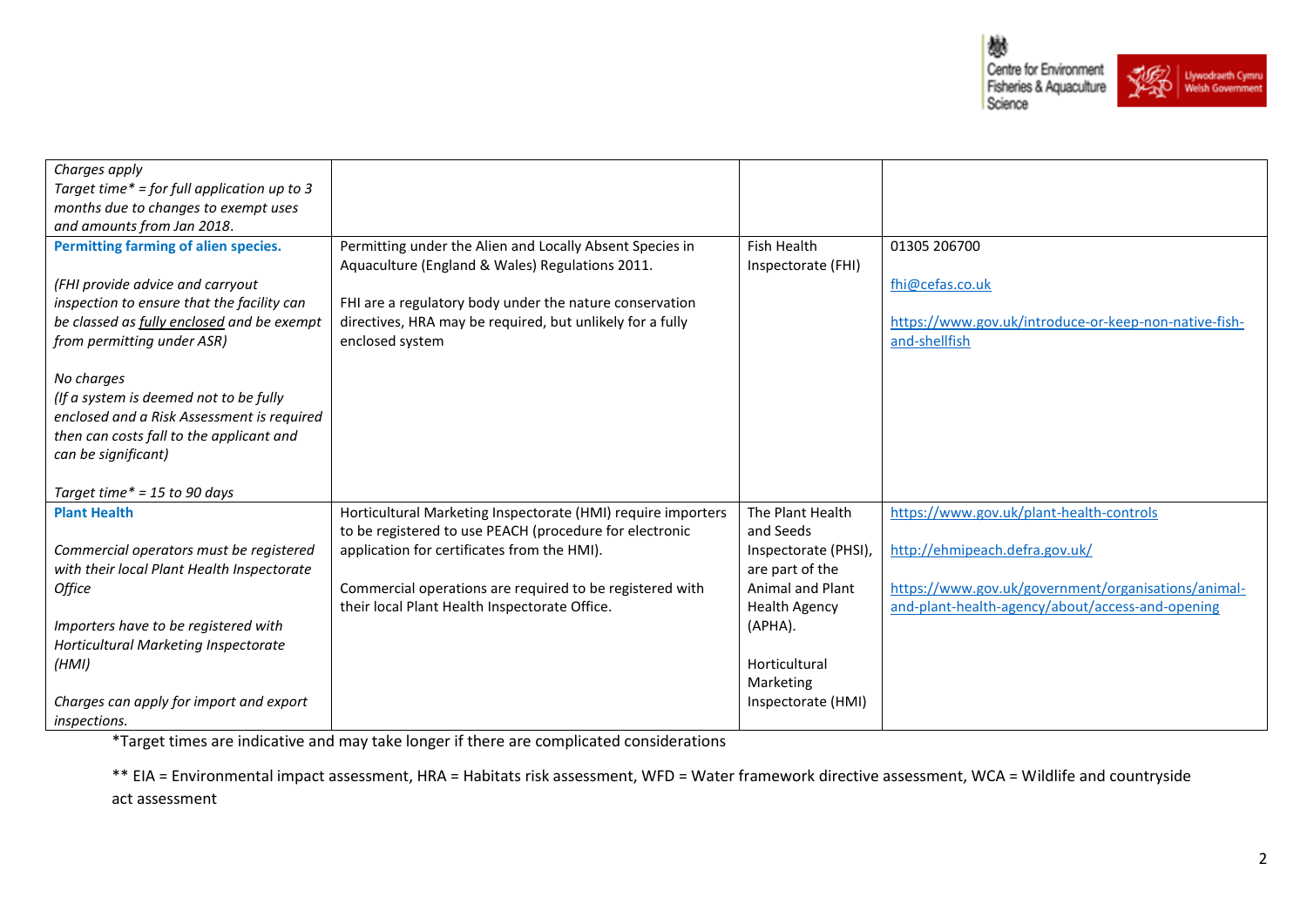戀 Centre for Environment Fisheries & Aquaculture Science



| Charges apply                               |                                                              |                      |                                                       |
|---------------------------------------------|--------------------------------------------------------------|----------------------|-------------------------------------------------------|
| Target time* = for full application up to 3 |                                                              |                      |                                                       |
| months due to changes to exempt uses        |                                                              |                      |                                                       |
| and amounts from Jan 2018.                  |                                                              |                      |                                                       |
| Permitting farming of alien species.        | Permitting under the Alien and Locally Absent Species in     | <b>Fish Health</b>   | 01305 206700                                          |
|                                             | Aquaculture (England & Wales) Regulations 2011.              | Inspectorate (FHI)   |                                                       |
| (FHI provide advice and carryout            |                                                              |                      | fhi@cefas.co.uk                                       |
| inspection to ensure that the facility can  | FHI are a regulatory body under the nature conservation      |                      |                                                       |
| be classed as fully enclosed and be exempt  | directives, HRA may be required, but unlikely for a fully    |                      | https://www.gov.uk/introduce-or-keep-non-native-fish- |
| from permitting under ASR)                  | enclosed system                                              |                      | and-shellfish                                         |
|                                             |                                                              |                      |                                                       |
| No charges                                  |                                                              |                      |                                                       |
| (If a system is deemed not to be fully      |                                                              |                      |                                                       |
| enclosed and a Risk Assessment is required  |                                                              |                      |                                                       |
| then can costs fall to the applicant and    |                                                              |                      |                                                       |
| can be significant)                         |                                                              |                      |                                                       |
|                                             |                                                              |                      |                                                       |
| Target time* = 15 to 90 days                |                                                              |                      |                                                       |
| <b>Plant Health</b>                         | Horticultural Marketing Inspectorate (HMI) require importers | The Plant Health     | https://www.gov.uk/plant-health-controls              |
|                                             | to be registered to use PEACH (procedure for electronic      | and Seeds            |                                                       |
| Commercial operators must be registered     | application for certificates from the HMI).                  | Inspectorate (PHSI), | http://ehmipeach.defra.gov.uk/                        |
| with their local Plant Health Inspectorate  |                                                              | are part of the      |                                                       |
| <b>Office</b>                               | Commercial operations are required to be registered with     | Animal and Plant     | https://www.gov.uk/government/organisations/animal-   |
|                                             | their local Plant Health Inspectorate Office.                | <b>Health Agency</b> | and-plant-health-agency/about/access-and-opening      |
| Importers have to be registered with        |                                                              | (APHA).              |                                                       |
| Horticultural Marketing Inspectorate        |                                                              |                      |                                                       |
| (HMI)                                       |                                                              | Horticultural        |                                                       |
|                                             |                                                              | Marketing            |                                                       |
| Charges can apply for import and export     |                                                              | Inspectorate (HMI)   |                                                       |
| inspections.                                |                                                              |                      |                                                       |
|                                             |                                                              |                      |                                                       |

\*Target times are indicative and may take longer if there are complicated considerations

\*\* EIA = Environmental impact assessment, HRA = Habitats risk assessment, WFD = Water framework directive assessment, WCA = Wildlife and countryside act assessment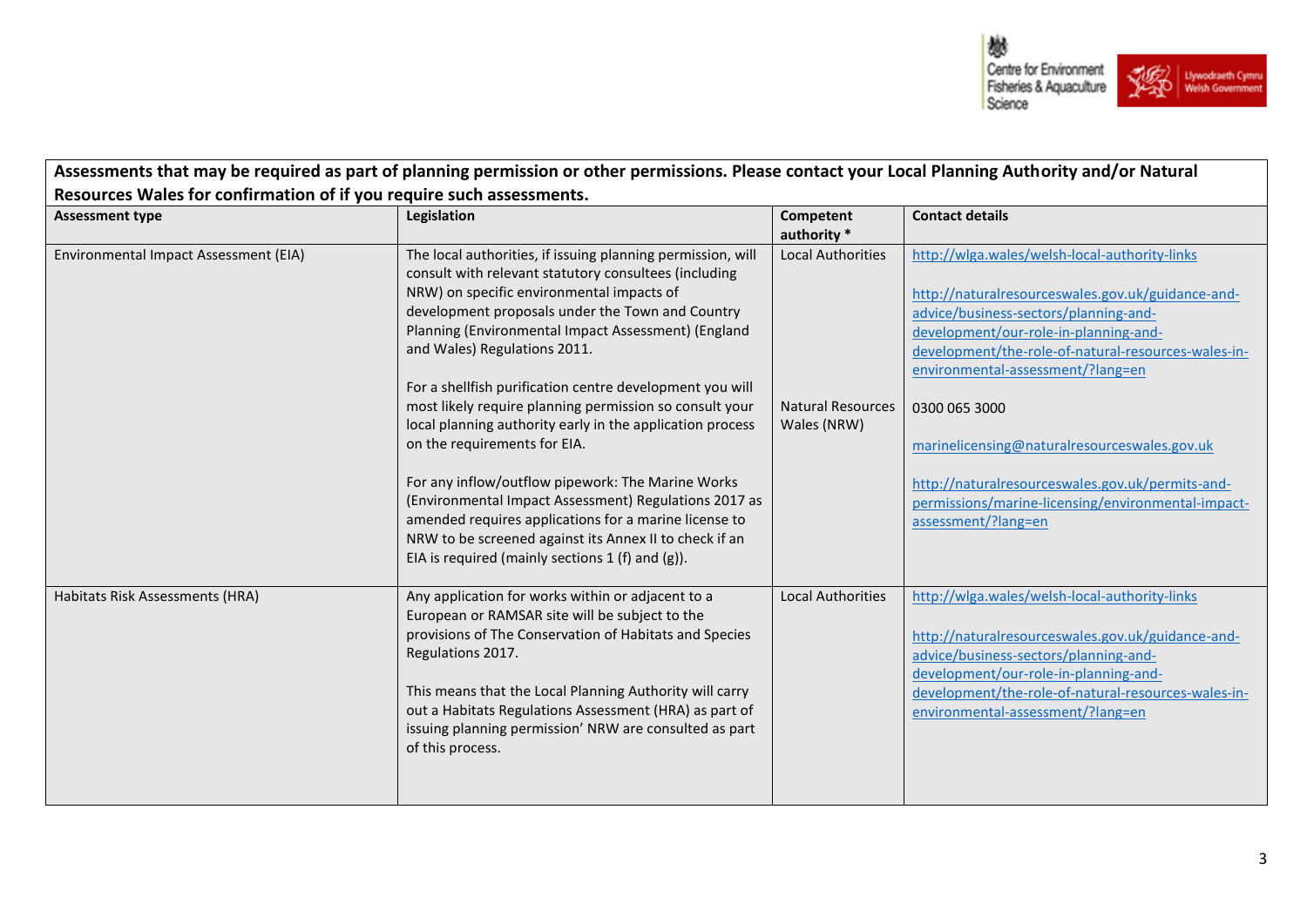

| <b>Assessment type</b>                | Legislation                                                                                                                                                                                                                                                                                                                                                                                                                                                                                                                                                                                                                                                                                                                                                                                                               | Competent<br>authority *                                            | <b>Contact details</b>                                                                                                                                                                                                                                                                                                                                                                                                                                                             |
|---------------------------------------|---------------------------------------------------------------------------------------------------------------------------------------------------------------------------------------------------------------------------------------------------------------------------------------------------------------------------------------------------------------------------------------------------------------------------------------------------------------------------------------------------------------------------------------------------------------------------------------------------------------------------------------------------------------------------------------------------------------------------------------------------------------------------------------------------------------------------|---------------------------------------------------------------------|------------------------------------------------------------------------------------------------------------------------------------------------------------------------------------------------------------------------------------------------------------------------------------------------------------------------------------------------------------------------------------------------------------------------------------------------------------------------------------|
| Environmental Impact Assessment (EIA) | The local authorities, if issuing planning permission, will<br>consult with relevant statutory consultees (including<br>NRW) on specific environmental impacts of<br>development proposals under the Town and Country<br>Planning (Environmental Impact Assessment) (England<br>and Wales) Regulations 2011.<br>For a shellfish purification centre development you will<br>most likely require planning permission so consult your<br>local planning authority early in the application process<br>on the requirements for EIA.<br>For any inflow/outflow pipework: The Marine Works<br>(Environmental Impact Assessment) Regulations 2017 as<br>amended requires applications for a marine license to<br>NRW to be screened against its Annex II to check if an<br>EIA is required (mainly sections $1(f)$ and $(g)$ ). | <b>Local Authorities</b><br><b>Natural Resources</b><br>Wales (NRW) | http://wlga.wales/welsh-local-authority-links<br>http://naturalresourceswales.gov.uk/guidance-and-<br>advice/business-sectors/planning-and-<br>development/our-role-in-planning-and-<br>development/the-role-of-natural-resources-wales-in-<br>environmental-assessment/?lang=en<br>0300 065 3000<br>marinelicensing@naturalresourceswales.gov.uk<br>http://naturalresourceswales.gov.uk/permits-and-<br>permissions/marine-licensing/environmental-impact-<br>assessment/?lang=en |
| Habitats Risk Assessments (HRA)       | Any application for works within or adjacent to a<br>European or RAMSAR site will be subject to the<br>provisions of The Conservation of Habitats and Species<br>Regulations 2017.<br>This means that the Local Planning Authority will carry<br>out a Habitats Regulations Assessment (HRA) as part of<br>issuing planning permission' NRW are consulted as part<br>of this process.                                                                                                                                                                                                                                                                                                                                                                                                                                     | <b>Local Authorities</b>                                            | http://wlga.wales/welsh-local-authority-links<br>http://naturalresourceswales.gov.uk/guidance-and-<br>advice/business-sectors/planning-and-<br>development/our-role-in-planning-and-<br>development/the-role-of-natural-resources-wales-in-<br>environmental-assessment/?lang=en                                                                                                                                                                                                   |